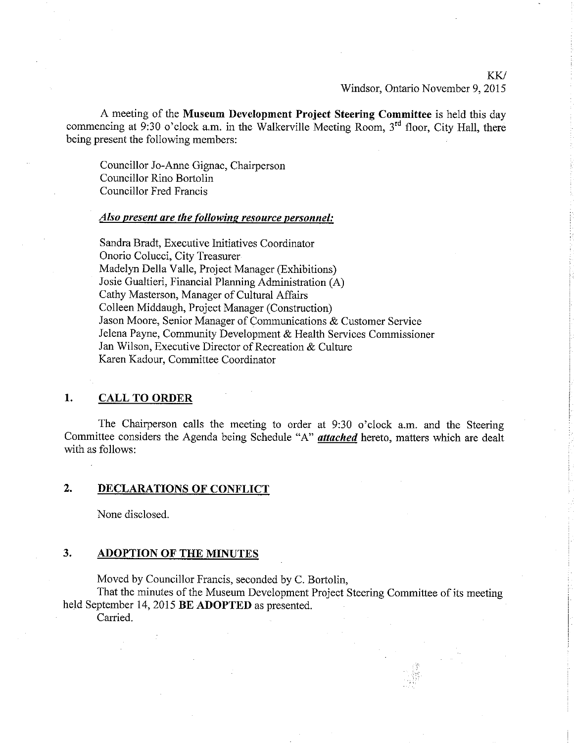## KK/ Windsor, Ontario November 9, 2015

A meeting of the Museum Development Project Steering Committee is held this day commencing at 9:30 o'clock a.m. in the Walkerville Meeting Room,  $3<sup>rd</sup>$  floor, City Hall, there being present the following members:

Councillor Jo-Arure Gignac, Chairperson Councillor Rino Bortolin Councillor Fred Francis

### Also present are the following resource personnel:

Sandra Bradt, Executive Initiatives Coordinator Onorio Colucci, City Treasurer Madelyn Della Valle, Project Manager (Exhibitions) Josie Gualtieri, Financial Planning Administration (A) Cathy Masterson, Manager of Cultural Affairs Colleen Middaugh, Project Manager (Construction) Jason Moore, Senior Manager of Communications & Customer Service Jelena Payne, Community Development & Health Services Commissioner Jan Wilson, Executive Director of Recreation & Culture Karen Kadour, Committee Coordinator

## 1. CALL TO ORDER

The Chairperson calls the meeting to order at 9:30 o'clock a.m. and the Steering Committee considers the Agenda being Schedule "A" attøched hereto, matters which are dealt with as follows:

# 2. DECLARATIONS OF CONFLICT

None disclosed.

## 3. ADOPTION OF THE MINUTES

Moved by Councillor Francis, seconded by C. Bortolin,

That the minutes of the Museum Development Project Steering Committee of its meeting held September 14,2015 BE ADOPTED as presented.

Carried.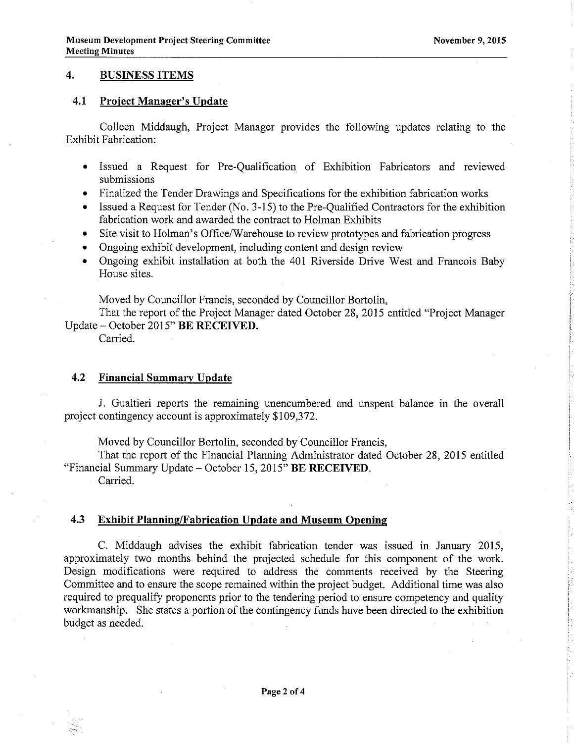# 4. BUSINESS ITEMS

## 4.1 Project Manager's Update

Colleen Middaugh, Project Manager provides the following updates relating to the Exhibit Fabrication:

- Issued a Request for Pre-Qualification of Exhibition Fabricators and reviewed submissions
- Finalized the Tender Drawings and Specifications for the exhibition fabrication works
- Issued a Request for Tender (No.  $3-15$ ) to the Pre-Qualified Contractors for the exhibition fabrication work and awarded the contract to Holman Exhibits
- Site visit to Holman's Office/Warehouse to review prototypes and fabrication progress
- Ongoing exhibit development, including content and design review
- . Ongoing exhibit installation at both the 401 Riverside Drive West and Francois Baby House sites.

Moved by Councillor Francis, seconded by Councillor Bortolin,

That the report of the Project Manager dated October 28, 2015 entitled "Project Manager" Update - October 2015" BE RECEIVED.

Carried.

## 4.2 Financial Summarv Update

J. Gualtieri reports the remaining unencumbered and unspent balance in the overall project contingency account is approximately \$109,372.

Moved by Councillor Bortolin, seconded by Councillor Francis,

That the report of the Financial Planning Administrator dated October 28, 2015 entitled "Financial Summary Update - October 15, 2015" BE RECEIVED.

Carried.

### 4.3 Exhibit Planning/Fabrication Update and Museum Opening

C. Middaugh advises the exhibit fabrication tender was issued in January 2015, approximately two months behind the projected schedule for this component of the work. Design modifications were required to address the comments received by the Steering Committee and to ensure the scope remained within the project budget. Additional time was also required to prequalify proponents prior to the tendering period to ensure competency and quality workmanship. She states a portion of the contingency funds have been directed to the exhibition budget as needed.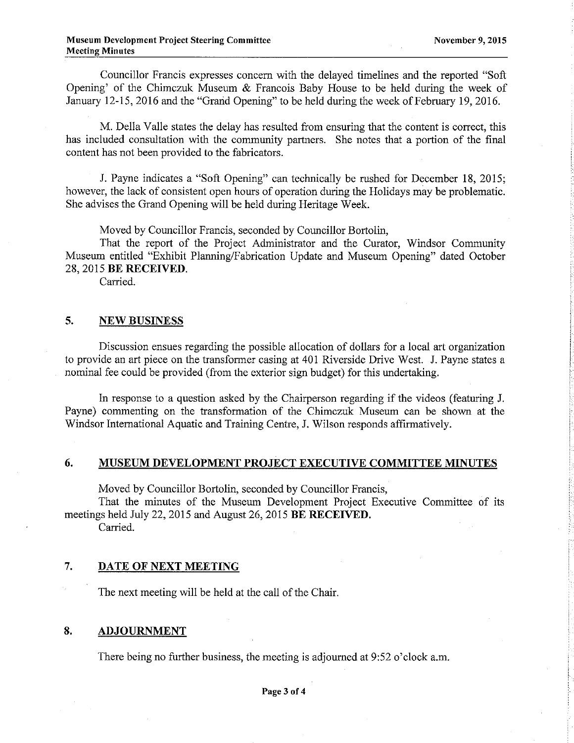Councillor Francis expresses concern with the delayed timelines and the reported "Soft Opening' of the Chimczuk Museum & Francois Baby House to be held during the week of January 12-15,2016 and the "Grand Opening" to be held during the week of February 19,2016.

M. Della Valle states the delay has resulted from ensuring that the content is conect, this has included consultation with the community partners. She notes that a portion of the final content has not been provided to the fabricators.

J. Payne indicates a "Soft Opening" can technically be rushed for December 18, 2015; however, the lack of consistent open hours of operation during the Holidays may be problematic. She advises the Grand Opening will be held during Heritage Week.

Moved by Councillor Francis, seconded by Councillor Bortolin,

That the report of the Project Administrator and the Curator, Windsor Community Museum entitled "Exhibit Planning/Fabrication Update and Museum Opening" dated October 28,2015 BE RECEIVED.

Carried.

## 5. NEW BUSINESS

Discussion ensues regarding the possible allocation of dollars for a local art organization to provide an art piece on the transformer casing at 401 Riverside Drive West. J. Payne states a nominal fee could be provided (from the exterior sign budget) for this undertaking.

In response to a question asked by the Chairperson regarding if the videos (featuring J. Payne) commenting on the transformation of the Chimczuk Museum can be shown at the Windsor International Aquatic and Training Centre, J. Wilson responds affirmatively.

# 6. MUSEUM DEVELOPMENT PROJECT EXECUTIVE COMMITTEE MINUTES

Moved by Councillor Bortolin, seconded by Councillor Francis,

That the minutes of the Museum Development Project Executive Committee of its meetings held July 22, 2015 and August 26, 2015 BE RECEIVED.

Carried.

## 7. DATE OF NEXT MEETING

The next meeting will be held at the call of the Chair.

# 8. ADJOURNMENT

There being no further business, the meeting is adjoumed at 9:52 o'clock a.m.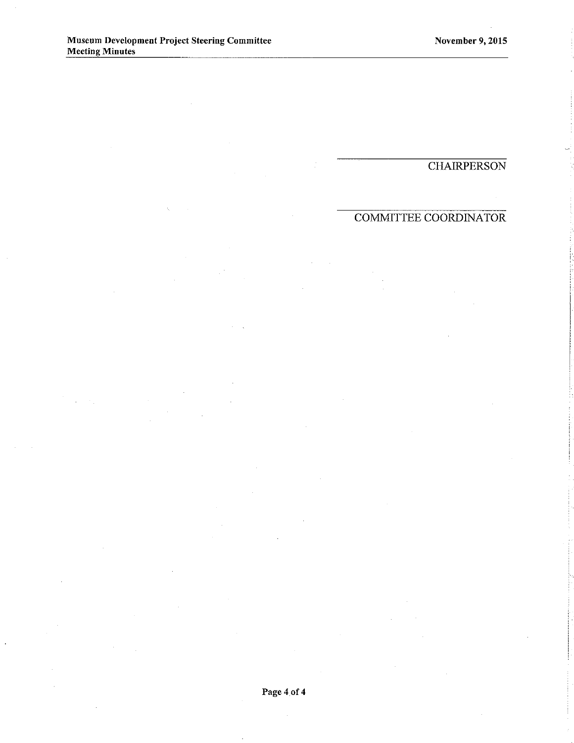# **CHAIRPERSON**

# COMMITTEE COORDINATOR